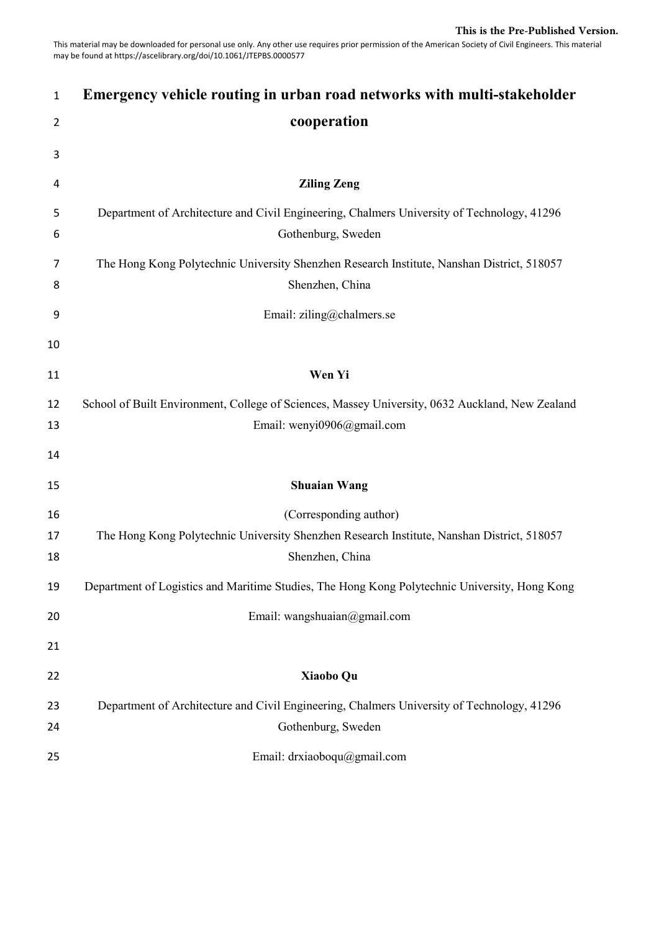| $\mathbf{1}$ | Emergency vehicle routing in urban road networks with multi-stakeholder                                          |
|--------------|------------------------------------------------------------------------------------------------------------------|
| 2            | cooperation                                                                                                      |
| 3            |                                                                                                                  |
| 4            | <b>Ziling Zeng</b>                                                                                               |
| 5<br>6       | Department of Architecture and Civil Engineering, Chalmers University of Technology, 41296<br>Gothenburg, Sweden |
| 7<br>8       | The Hong Kong Polytechnic University Shenzhen Research Institute, Nanshan District, 518057<br>Shenzhen, China    |
| 9            | Email: $ziling@chalmers.se$                                                                                      |
| 10           |                                                                                                                  |
| 11           | Wen Yi                                                                                                           |
| 12           | School of Built Environment, College of Sciences, Massey University, 0632 Auckland, New Zealand                  |
| 13           | Email: wenyi0906@gmail.com                                                                                       |
| 14           |                                                                                                                  |
| 15           | <b>Shuaian Wang</b>                                                                                              |
| 16           | (Corresponding author)                                                                                           |
| 17<br>18     | The Hong Kong Polytechnic University Shenzhen Research Institute, Nanshan District, 518057<br>Shenzhen, China    |
| 19           | Department of Logistics and Maritime Studies, The Hong Kong Polytechnic University, Hong Kong                    |
| 20           | Email: wangshuaian@gmail.com                                                                                     |
| 21           |                                                                                                                  |
| 22           | Xiaobo Qu                                                                                                        |
| 23           | Department of Architecture and Civil Engineering, Chalmers University of Technology, 41296                       |
| 24           | Gothenburg, Sweden                                                                                               |
| 25           | Email: drxiaoboqu@gmail.com                                                                                      |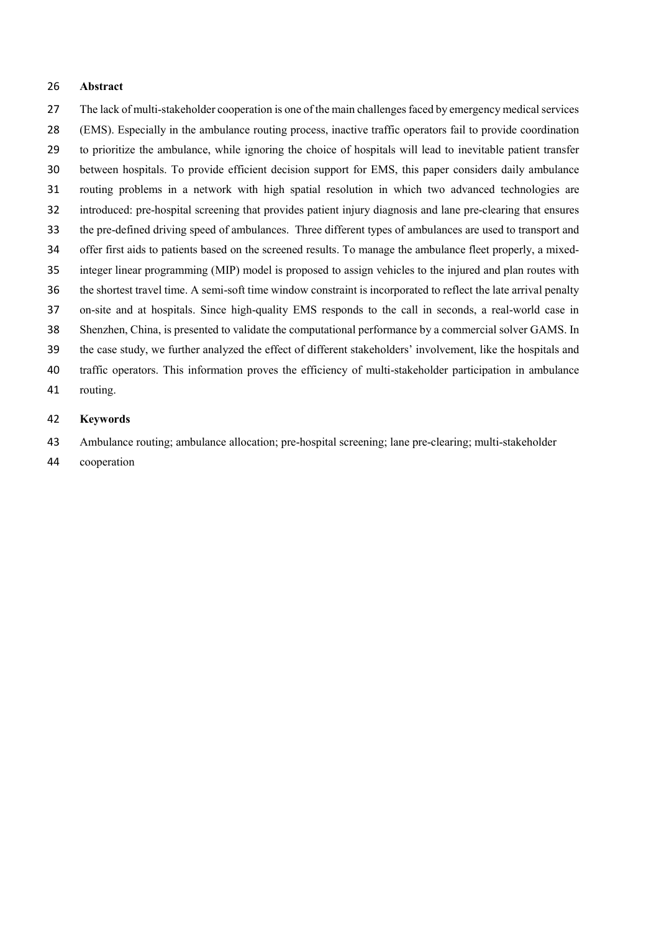## **Abstract**

 The lack of multi-stakeholder cooperation is one of the main challenges faced by emergency medical services (EMS). Especially in the ambulance routing process, inactive traffic operators fail to provide coordination to prioritize the ambulance, while ignoring the choice of hospitals will lead to inevitable patient transfer between hospitals. To provide efficient decision support for EMS, this paper considers daily ambulance routing problems in a network with high spatial resolution in which two advanced technologies are introduced: pre-hospital screening that provides patient injury diagnosis and lane pre-clearing that ensures the pre-defined driving speed of ambulances. Three different types of ambulances are used to transport and offer first aids to patients based on the screened results. To manage the ambulance fleet properly, a mixed- integer linear programming (MIP) model is proposed to assign vehicles to the injured and plan routes with the shortest travel time. A semi-soft time window constraint is incorporated to reflect the late arrival penalty on-site and at hospitals. Since high-quality EMS responds to the call in seconds, a real-world case in Shenzhen, China, is presented to validate the computational performance by a commercial solver GAMS. In the case study, we further analyzed the effect of different stakeholders' involvement, like the hospitals and traffic operators. This information proves the efficiency of multi-stakeholder participation in ambulance routing.

## **Keywords**

Ambulance routing; ambulance allocation; pre-hospital screening; lane pre-clearing; multi-stakeholder

cooperation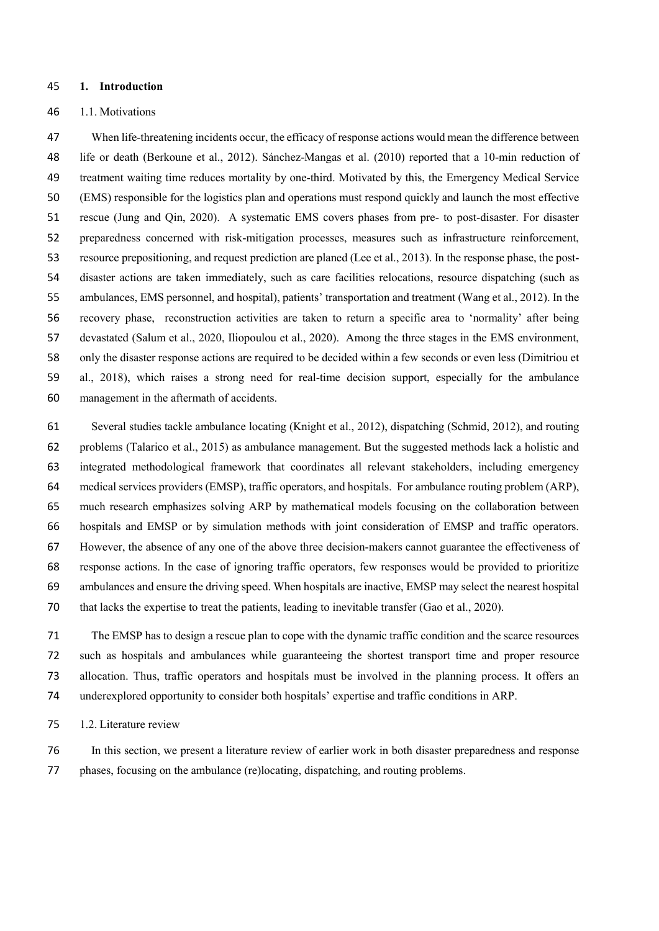#### **1. Introduction**

#### 1.1. Motivations

 When life-threatening incidents occur, the efficacy of response actions would mean the difference between life or death (Berkoune et al., 2012). Sánchez-Mangas et al. (2010) reported that a 10-min reduction of treatment waiting time reduces mortality by one-third. Motivated by this, the Emergency Medical Service (EMS) responsible for the logistics plan and operations must respond quickly and launch the most effective rescue (Jung and Qin, 2020). A systematic EMS covers phases from pre- to post-disaster. For disaster preparedness concerned with risk-mitigation processes, measures such as infrastructure reinforcement, resource prepositioning, and request prediction are planed (Lee et al., 2013). In the response phase, the post- disaster actions are taken immediately, such as care facilities relocations, resource dispatching (such as ambulances, EMS personnel, and hospital), patients' transportation and treatment (Wang et al., 2012). In the recovery phase, reconstruction activities are taken to return a specific area to 'normality' after being devastated (Salum et al., 2020, Iliopoulou et al., 2020). Among the three stages in the EMS environment, only the disaster response actions are required to be decided within a few seconds or even less (Dimitriou et al., 2018), which raises a strong need for real-time decision support, especially for the ambulance management in the aftermath of accidents.

 Several studies tackle ambulance locating (Knight et al., 2012), dispatching (Schmid, 2012), and routing problems (Talarico et al., 2015) as ambulance management. But the suggested methods lack a holistic and integrated methodological framework that coordinates all relevant stakeholders, including emergency medical services providers (EMSP), traffic operators, and hospitals. For ambulance routing problem (ARP), much research emphasizes solving ARP by mathematical models focusing on the collaboration between hospitals and EMSP or by simulation methods with joint consideration of EMSP and traffic operators. However, the absence of any one of the above three decision-makers cannot guarantee the effectiveness of response actions. In the case of ignoring traffic operators, few responses would be provided to prioritize ambulances and ensure the driving speed. When hospitals are inactive, EMSP may select the nearest hospital that lacks the expertise to treat the patients, leading to inevitable transfer (Gao et al., 2020).

 The EMSP has to design a rescue plan to cope with the dynamic traffic condition and the scarce resources such as hospitals and ambulances while guaranteeing the shortest transport time and proper resource allocation. Thus, traffic operators and hospitals must be involved in the planning process. It offers an underexplored opportunity to consider both hospitals' expertise and traffic conditions in ARP.

1.2. Literature review

 In this section, we present a literature review of earlier work in both disaster preparedness and response phases, focusing on the ambulance (re)locating, dispatching, and routing problems.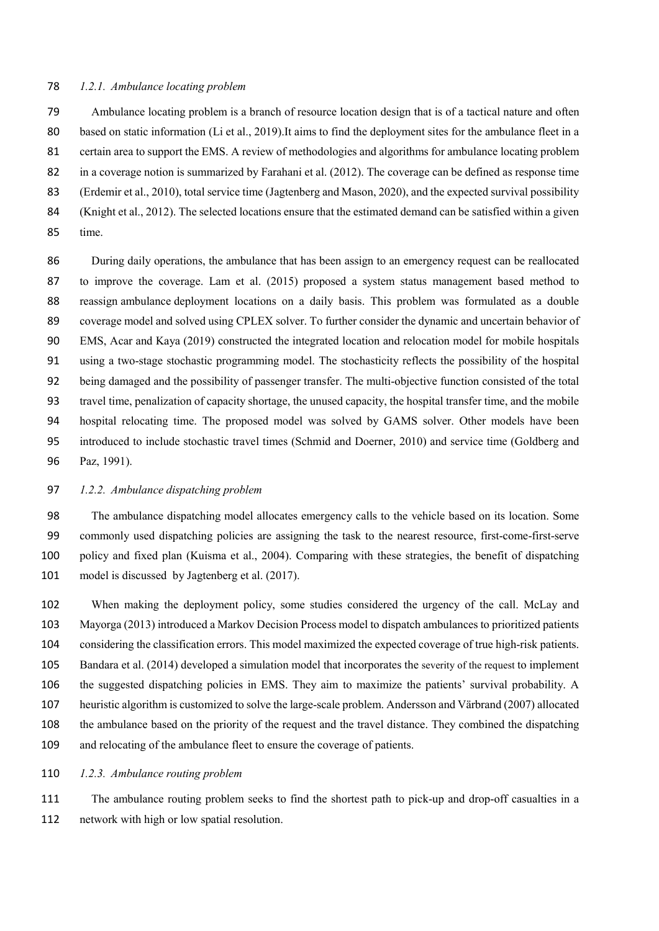## *1.2.1. Ambulance locating problem*

 Ambulance locating problem is a branch of resource location design that is of a tactical nature and often 80 based on static information (Li et al., 2019). It aims to find the deployment sites for the ambulance fleet in a certain area to support the EMS. A review of methodologies and algorithms for ambulance locating problem in a coverage notion is summarized by Farahani et al. (2012). The coverage can be defined as response time (Erdemir et al., 2010), total service time (Jagtenberg and Mason, 2020), and the expected survival possibility (Knight et al., 2012). The selected locations ensure that the estimated demand can be satisfied within a given

time.

 During daily operations, the ambulance that has been assign to an emergency request can be reallocated to improve the coverage. Lam et al. (2015) proposed a system status management based method to reassign [ambulance](https://www.sciencedirect.com/topics/medicine-and-dentistry/ambulance) deployment locations on a daily basis. This problem was formulated as a double coverage model and solved using CPLEX solver. To further consider the dynamic and uncertain behavior of EMS, Acar and Kaya (2019) constructed the integrated location and relocation model for mobile hospitals using a two-stage stochastic programming model. The stochasticity reflects the possibility of the hospital being damaged and the possibility of passenger transfer. The multi-objective function consisted of the total travel time, penalization of capacity shortage, the unused capacity, the hospital transfer time, and the mobile hospital relocating time. The proposed model was solved by GAMS solver. Other models have been introduced to include stochastic travel times (Schmid and Doerner, 2010) and service time (Goldberg and Paz, 1991).

#### *1.2.2. Ambulance dispatching problem*

 The ambulance dispatching model allocates emergency calls to the vehicle based on its location. Some commonly used dispatching policies are assigning the task to the nearest resource, first-come-first-serve policy and fixed plan (Kuisma et al., 2004). Comparing with these strategies, the benefit of dispatching model is discussed by Jagtenberg et al. (2017).

 When making the deployment policy, some studies considered the urgency of the call. McLay and Mayorga (2013) introduced a Markov Decision Process model to dispatch ambulances to prioritized patients considering the classification errors. This model maximized the expected coverage of true high-risk patients. Bandara et al. (2014) developed a simulation model that incorporates the severity of the request to implement the suggested dispatching policies in EMS. They aim to maximize the patients' survival probability. A heuristic algorithm is customized to solve the large-scale problem. Andersson and Värbrand (2007) allocated the ambulance based on the priority of the request and the travel distance. They combined the dispatching and relocating of the ambulance fleet to ensure the coverage of patients.

*1.2.3. Ambulance routing problem*

 The ambulance routing problem seeks to find the shortest path to pick-up and drop-off casualties in a network with high or low spatial resolution.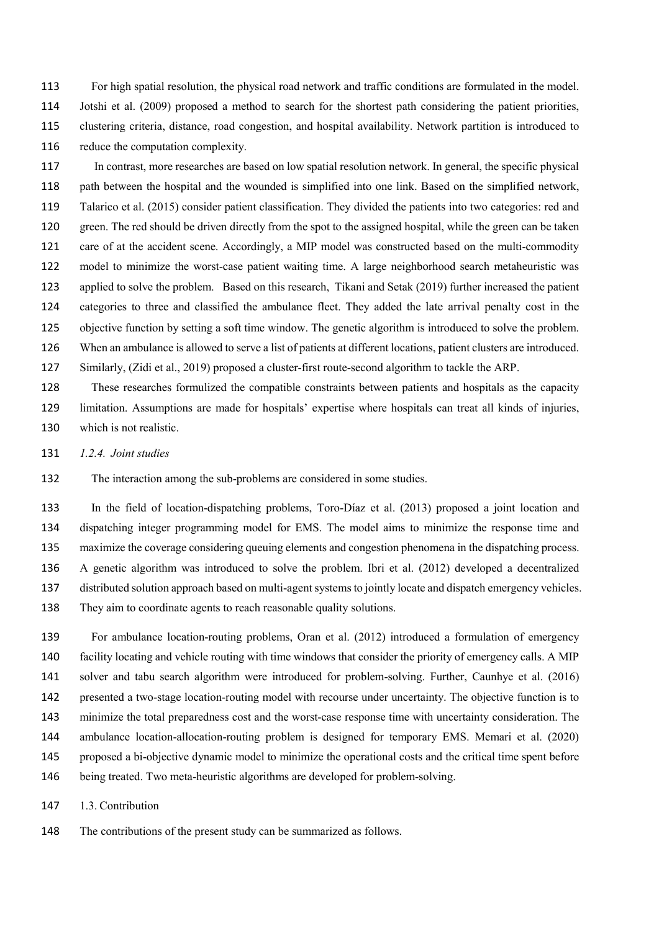For high spatial resolution, the physical road network and traffic conditions are formulated in the model. Jotshi et al. (2009) proposed a method to search for the shortest path considering the patient priorities, clustering criteria, distance, road congestion, and hospital availability. Network partition is introduced to reduce the computation complexity.

 In contrast, more researches are based on low spatial resolution network. In general, the specific physical path between the hospital and the wounded is simplified into one link. Based on the simplified network, Talarico et al. (2015) consider patient classification. They divided the patients into two categories: red and green. The red should be driven directly from the spot to the assigned hospital, while the green can be taken care of at the accident scene. Accordingly, a MIP model was constructed based on the multi-commodity model to minimize the worst-case patient waiting time. A large neighborhood search metaheuristic was applied to solve the problem. Based on this research, Tikani and Setak (2019) further increased the patient categories to three and classified the ambulance fleet. They added the late arrival penalty cost in the objective function by setting a soft time window. The genetic algorithm is introduced to solve the problem. When an ambulance is allowed to serve a list of patients at different locations, patient clusters are introduced. Similarly, (Zidi et al., 2019) proposed a cluster-first route-second algorithm to tackle the ARP.

 These researches formulized the compatible constraints between patients and hospitals as the capacity limitation. Assumptions are made for hospitals' expertise where hospitals can treat all kinds of injuries,

*1.2.4. Joint studies*

which is not realistic.

The interaction among the sub-problems are considered in some studies.

 In the field of location-dispatching problems, Toro-Díaz et al. (2013) proposed a joint location and dispatching integer programming model for EMS. The model aims to minimize the response time and maximize the coverage considering queuing elements and congestion phenomena in the dispatching process. A genetic algorithm was introduced to solve the problem. Ibri et al. (2012) developed a decentralized distributed solution approach based on multi-agent systems to jointly locate and dispatch emergency vehicles. They aim to coordinate agents to reach reasonable quality solutions.

 For ambulance location-routing problems, Oran et al. (2012) introduced a formulation of emergency facility locating and vehicle routing with time windows that consider the priority of emergency calls. A MIP solver and tabu search algorithm were introduced for problem-solving. Further, Caunhye et al. (2016) presented a two-stage location-routing model with recourse under uncertainty. The objective function is to minimize the total preparedness cost and the worst-case response time with uncertainty consideration. The ambulance location-allocation-routing problem is designed for temporary EMS. Memari et al. (2020) proposed a bi-objective dynamic model to minimize the operational costs and the critical time spent before being treated. Two meta-heuristic algorithms are developed for problem-solving.

1.3. Contribution

The contributions of the present study can be summarized as follows.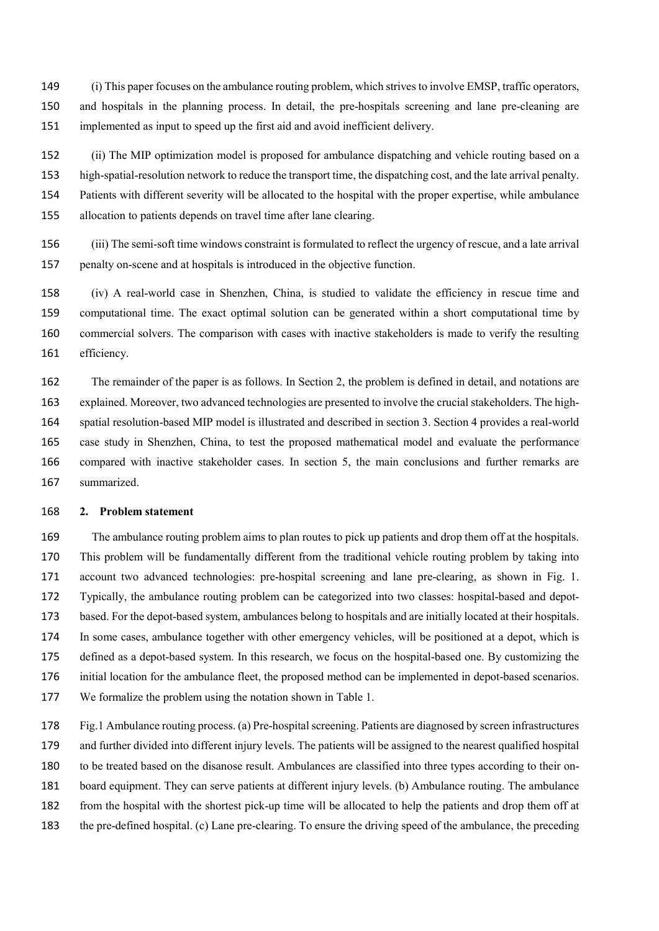(i) This paper focuses on the ambulance routing problem, which strives to involve EMSP, traffic operators, and hospitals in the planning process. In detail, the pre-hospitals screening and lane pre-cleaning are implemented as input to speed up the first aid and avoid inefficient delivery.

 (ii) The MIP optimization model is proposed for ambulance dispatching and vehicle routing based on a high-spatial-resolution network to reduce the transport time, the dispatching cost, and the late arrival penalty. Patients with different severity will be allocated to the hospital with the proper expertise, while ambulance allocation to patients depends on travel time after lane clearing.

 (iii) The semi-soft time windows constraint is formulated to reflect the urgency of rescue, and a late arrival penalty on-scene and at hospitals is introduced in the objective function.

 (iv) A real-world case in Shenzhen, China, is studied to validate the efficiency in rescue time and computational time. The exact optimal solution can be generated within a short computational time by commercial solvers. The comparison with cases with inactive stakeholders is made to verify the resulting efficiency.

 The remainder of the paper is as follows. In Section 2, the problem is defined in detail, and notations are explained. Moreover, two advanced technologies are presented to involve the crucial stakeholders. The high- spatial resolution-based MIP model is illustrated and described in section 3. Section 4 provides a real-world case study in Shenzhen, China, to test the proposed mathematical model and evaluate the performance compared with inactive stakeholder cases. In section 5, the main conclusions and further remarks are summarized.

#### **2. Problem statement**

 The ambulance routing problem aims to plan routes to pick up patients and drop them off at the hospitals. This problem will be fundamentally different from the traditional vehicle routing problem by taking into account two advanced technologies: pre-hospital screening and lane pre-clearing, as shown in Fig. 1. Typically, the ambulance routing problem can be categorized into two classes: hospital-based and depot- based. For the depot-based system, ambulances belong to hospitals and are initially located at their hospitals. In some cases, ambulance together with other emergency vehicles, will be positioned at a depot, which is defined as a depot-based system. In this research, we focus on the hospital-based one. By customizing the initial location for the ambulance fleet, the proposed method can be implemented in depot-based scenarios. We formalize the problem using the notation shown in Table 1.

 Fig.1 Ambulance routing process. (a) Pre-hospital screening. Patients are diagnosed by screen infrastructures and further divided into different injury levels. The patients will be assigned to the nearest qualified hospital to be treated based on the disanose result. Ambulances are classified into three types according to their on- board equipment. They can serve patients at different injury levels. (b) Ambulance routing. The ambulance from the hospital with the shortest pick-up time will be allocated to help the patients and drop them off at the pre-defined hospital. (c) Lane pre-clearing. To ensure the driving speed of the ambulance, the preceding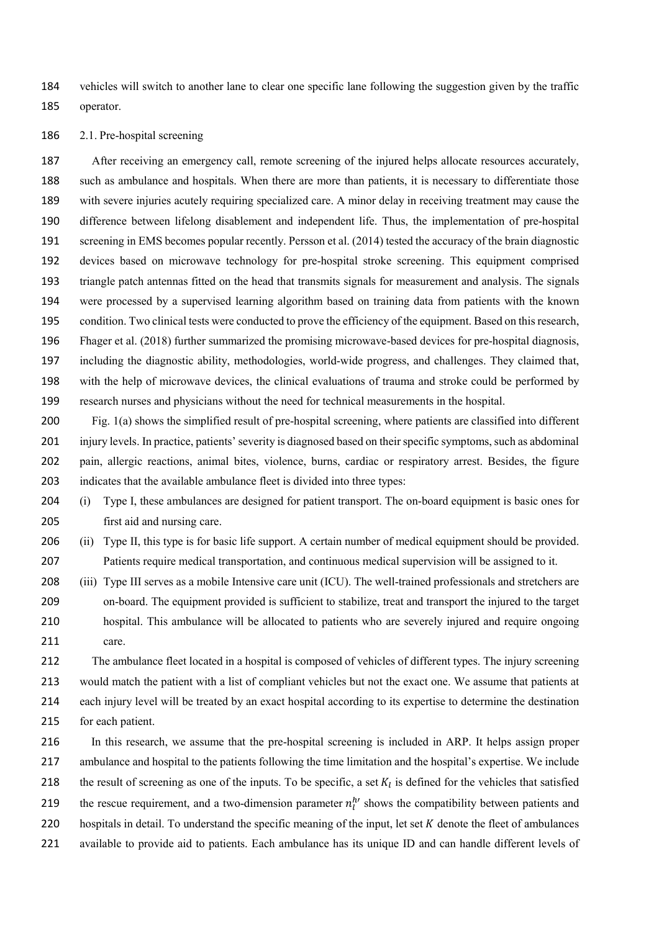vehicles will switch to another lane to clear one specific lane following the suggestion given by the traffic operator.

#### 2.1. Pre-hospital screening

 After receiving an emergency call, remote screening of the injured helps allocate resources accurately, such as ambulance and hospitals. When there are more than patients, it is necessary to differentiate those with severe injuries acutely requiring specialized care. A minor delay in receiving treatment may cause the difference between lifelong disablement and independent life. Thus, the implementation of pre-hospital 191 screening in EMS becomes popular recently. Persson et al. (2014) tested the accuracy of the brain diagnostic devices based on microwave technology for pre-hospital stroke screening. This equipment comprised triangle patch antennas fitted on the head that transmits signals for measurement and analysis. The signals were processed by a supervised learning algorithm based on training data from patients with the known condition. Two clinical tests were conducted to prove the efficiency of the equipment. Based on this research, Fhager et al. (2018) further summarized the promising microwave-based devices for pre-hospital diagnosis, including the diagnostic ability, methodologies, world-wide progress, and challenges. They claimed that, with the help of microwave devices, the clinical evaluations of trauma and stroke could be performed by research nurses and physicians without the need for technical measurements in the hospital.

 Fig. 1(a) shows the simplified result of pre-hospital screening, where patients are classified into different 201 injury levels. In practice, patients' severity is diagnosed based on their specific symptoms, such as abdominal pain, allergic reactions, animal bites, violence, burns, cardiac or respiratory arrest. Besides, the figure indicates that the available ambulance fleet is divided into three types:

- (i) Type I, these ambulances are designed for patient transport. The on-board equipment is basic ones for first aid and nursing care.
- 206 (ii) Type II, this type is for basic life support. A certain number of medical equipment should be provided. Patients require medical transportation, and continuous medical supervision will be assigned to it.
- (iii) Type III serves as a mobile Intensive care unit (ICU). The well-trained professionals and stretchers are on-board. The equipment provided is sufficient to stabilize, treat and transport the injured to the target hospital. This ambulance will be allocated to patients who are severely injured and require ongoing care.
- The ambulance fleet located in a hospital is composed of vehicles of different types. The injury screening would match the patient with a list of compliant vehicles but not the exact one. We assume that patients at each injury level will be treated by an exact hospital according to its expertise to determine the destination for each patient.
- In this research, we assume that the pre-hospital screening is included in ARP. It helps assign proper ambulance and hospital to the patients following the time limitation and the hospital's expertise. We include 218 the result of screening as one of the inputs. To be specific, a set  $K_l$  is defined for the vehicles that satisfied 219 the rescue requirement, and a two-dimension parameter  $n_l^{h'}$  shows the compatibility between patients and 220 hospitals in detail. To understand the specific meaning of the input, let set  $K$  denote the fleet of ambulances available to provide aid to patients. Each ambulance has its unique ID and can handle different levels of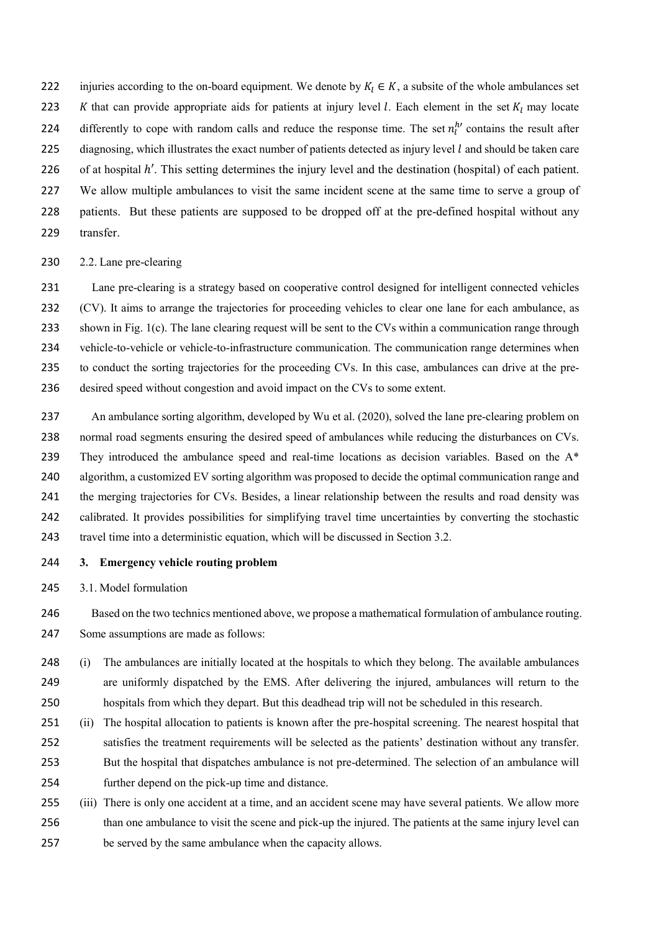- 222 injuries according to the on-board equipment. We denote by  $K_l \in K$ , a subsite of the whole ambulances set 223 K that can provide appropriate aids for patients at injury level l. Each element in the set  $K_l$  may locate
- 224 differently to cope with random calls and reduce the response time. The set  $n_l^h$  contains the result after
- 225 diagnosing, which illustrates the exact number of patients detected as injury level  $l$  and should be taken care
- 226 of at hospital  $h'$ . This setting determines the injury level and the destination (hospital) of each patient.
- We allow multiple ambulances to visit the same incident scene at the same time to serve a group of
- patients. But these patients are supposed to be dropped off at the pre-defined hospital without any
- transfer.
- 230 2.2. Lane pre-clearing

 Lane pre-clearing is a strategy based on cooperative control designed for intelligent connected vehicles 232 (CV). It aims to arrange the trajectories for proceeding vehicles to clear one lane for each ambulance, as shown in Fig. 1(c). The lane clearing request will be sent to the CVs within a communication range through vehicle-to-vehicle or vehicle-to-infrastructure communication. The communication range determines when to conduct the sorting trajectories for the proceeding CVs. In this case, ambulances can drive at the pre-desired speed without congestion and avoid impact on the CVs to some extent.

- 237 An ambulance sorting algorithm, developed by Wu et al. (2020), solved the lane pre-clearing problem on normal road segments ensuring the desired speed of ambulances while reducing the disturbances on CVs. They introduced the ambulance speed and real-time locations as decision variables. Based on the A\* algorithm, a customized EV sorting algorithm was proposed to decide the optimal communication range and the merging trajectories for CVs. Besides, a linear relationship between the results and road density was calibrated. It provides possibilities for simplifying travel time uncertainties by converting the stochastic travel time into a deterministic equation, which will be discussed in Section 3.2.
- **3. Emergency vehicle routing problem**
- 3.1. Model formulation

 Based on the two technics mentioned above, we propose a mathematical formulation of ambulance routing. Some assumptions are made as follows:

- (i) The ambulances are initially located at the hospitals to which they belong. The available ambulances are uniformly dispatched by the EMS. After delivering the injured, ambulances will return to the hospitals from which they depart. But this deadhead trip will not be scheduled in this research.
- (ii) The hospital allocation to patients is known after the pre-hospital screening. The nearest hospital that satisfies the treatment requirements will be selected as the patients' destination without any transfer. But the hospital that dispatches ambulance is not pre-determined. The selection of an ambulance will further depend on the pick-up time and distance.
- (iii) There is only one accident at a time, and an accident scene may have several patients. We allow more than one ambulance to visit the scene and pick-up the injured. The patients at the same injury level can be served by the same ambulance when the capacity allows.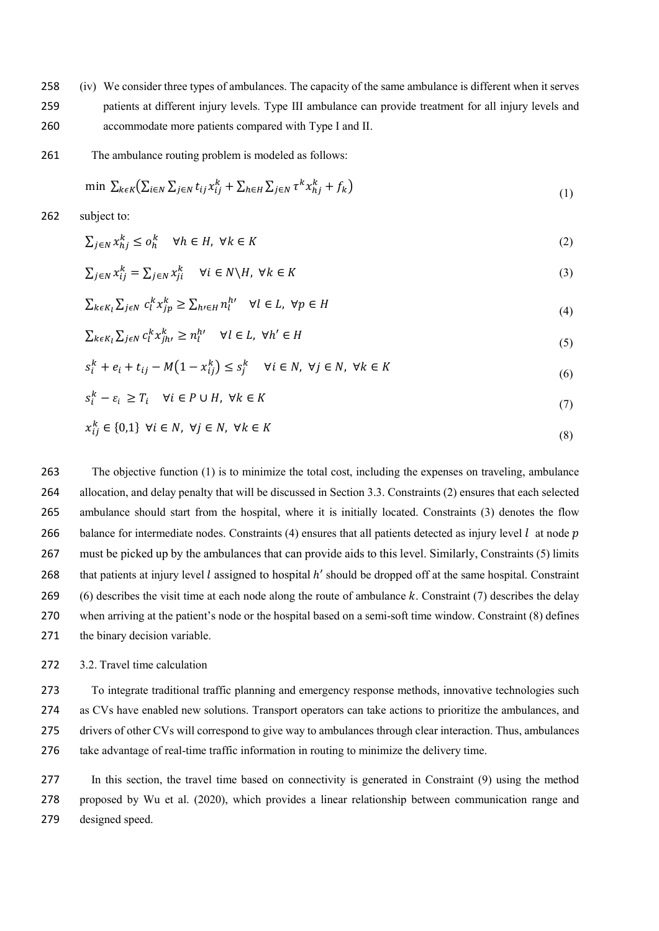- 258 (iv) We consider three types of ambulances. The capacity of the same ambulance is different when it serves 259 patients at different injury levels. Type III ambulance can provide treatment for all injury levels and 260 accommodate more patients compared with Type I and II.
- 261 The ambulance routing problem is modeled as follows:

$$
\min \sum_{k \in K} \left( \sum_{i \in N} \sum_{j \in N} t_{ij} x_{ij}^k + \sum_{h \in H} \sum_{j \in N} \tau^k x_{hj}^k + f_k \right) \tag{1}
$$

262 subject to:

$$
\sum_{j \in N} x_{hj}^k \le o_h^k \quad \forall h \in H, \ \forall k \in K \tag{2}
$$

$$
\sum_{j \in N} x_{ij}^k = \sum_{j \in N} x_{ji}^k \quad \forall i \in N \backslash H, \ \forall k \in K
$$
\n
$$
(3)
$$

$$
\sum_{k \in K_l} \sum_{j \in N} c_l^k x_{jp}^k \ge \sum_{h' \in H} n_l^{h'} \quad \forall l \in L, \ \forall p \in H
$$
\n
$$
\tag{4}
$$

$$
\sum_{k \in K_l} \sum_{j \in N} c_l^k x_{jh}^k \ge n_l^{h'} \quad \forall l \in L, \ \forall h' \in H
$$
\n
$$
(5)
$$

$$
s_i^k + e_i + t_{ij} - M(1 - x_{ij}^k) \le s_j^k \quad \forall i \in N, \ \forall j \in N, \ \forall k \in K
$$
 (6)

$$
s_i^k - \varepsilon_i \ge T_i \quad \forall i \in P \cup H, \ \forall k \in K \tag{7}
$$

$$
x_{ij}^k \in \{0,1\} \ \forall i \in N, \ \forall j \in N, \ \forall k \in K
$$
\n
$$
(8)
$$

263 The objective function (1) is to minimize the total cost, including the expenses on traveling, ambulance 264 allocation, and delay penalty that will be discussed in Section 3.3. Constraints (2) ensures that each selected 265 ambulance should start from the hospital, where it is initially located. Constraints (3) denotes the flow 266 balance for intermediate nodes. Constraints (4) ensures that all patients detected as injury level  $l$  at node  $p$ 267 must be picked up by the ambulances that can provide aids to this level. Similarly, Constraints (5) limits 268 that patients at injury level  $l$  assigned to hospital  $h'$  should be dropped off at the same hospital. Constraint 269 (6) describes the visit time at each node along the route of ambulance  $k$ . Constraint (7) describes the delay 270 when arriving at the patient's node or the hospital based on a semi-soft time window. Constraint (8) defines 271 the binary decision variable.

272 3.2. Travel time calculation

 To integrate traditional traffic planning and emergency response methods, innovative technologies such as CVs have enabled new solutions. Transport operators can take actions to prioritize the ambulances, and drivers of other CVs will correspond to give way to ambulances through clear interaction. Thus, ambulances take advantage of real-time traffic information in routing to minimize the delivery time.

277 In this section, the travel time based on connectivity is generated in Constraint (9) using the method 278 proposed by Wu et al. (2020), which provides a linear relationship between communication range and 279 designed speed.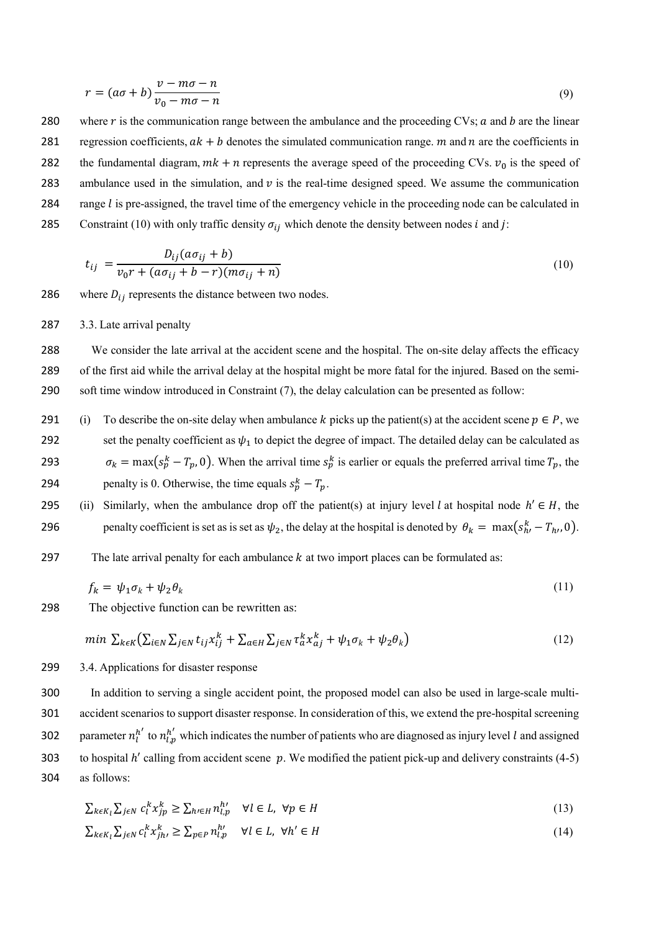$$
r = (a\sigma + b)\frac{v - m\sigma - n}{v_0 - m\sigma - n}
$$
\n(9)

280 where r is the communication range between the ambulance and the proceeding CVs;  $\alpha$  and  $\beta$  are the linear 281 regression coefficients,  $ak + b$  denotes the simulated communication range. *m* and *n* are the coefficients in 282 the fundamental diagram,  $mk + n$  represents the average speed of the proceeding CVs.  $v_0$  is the speed of 283 ambulance used in the simulation, and  $\nu$  is the real-time designed speed. We assume the communication 284 range  $l$  is pre-assigned, the travel time of the emergency vehicle in the proceeding node can be calculated in 285 Constraint (10) with only traffic density  $\sigma_{ij}$  which denote the density between nodes *i* and *j*:

$$
t_{ij} = \frac{D_{ij}(a\sigma_{ij} + b)}{v_0 r + (a\sigma_{ij} + b - r)(m\sigma_{ij} + n)}
$$
(10)

286 where  $D_{ij}$  represents the distance between two nodes.

#### 287 3.3. Late arrival penalty

288 We consider the late arrival at the accident scene and the hospital. The on-site delay affects the efficacy 289 of the first aid while the arrival delay at the hospital might be more fatal for the injured. Based on the semi-290 soft time window introduced in Constraint (7), the delay calculation can be presented as follow:

- 291 (i) To describe the on-site delay when ambulance k picks up the patient(s) at the accident scene  $p \in P$ , we 292 set the penalty coefficient as  $\psi_1$  to depict the degree of impact. The detailed delay can be calculated as 293  $\sigma_k = \max(s_p^k - T_p, 0)$ . When the arrival time  $s_p^k$  is earlier or equals the preferred arrival time  $T_p$ , the 294 penalty is 0. Otherwise, the time equals  $s_n^k - T_n$ .
- 295 (ii) Similarly, when the ambulance drop off the patient(s) at injury level *l* at hospital node  $h' \in H$ , the 296 penalty coefficient is set as is set as  $\psi_2$ , the delay at the hospital is denoted by  $\theta_k = \max(s_{h'}^k - T_{h'}, 0)$ .

#### 297 The late arrival penalty for each ambulance  $k$  at two import places can be formulated as:

$$
f_k = \psi_1 \sigma_k + \psi_2 \theta_k \tag{11}
$$

298 The objective function can be rewritten as:

$$
min \ \sum_{k \in K} \left( \sum_{i \in N} \sum_{j \in N} t_{ij} x_{ij}^k + \sum_{a \in H} \sum_{j \in N} \tau_a^k x_{aj}^k + \psi_1 \sigma_k + \psi_2 \theta_k \right) \tag{12}
$$

299 3.4. Applications for disaster response

300 In addition to serving a single accident point, the proposed model can also be used in large-scale multi-301 accident scenarios to support disaster response. In consideration of this, we extend the pre-hospital screening 302 parameter  $n_l^{h'}$  to  $n_{l,p}^{h'}$  which indicates the number of patients who are diagnosed as injury level l and assigned 303 to hospital  $h'$  calling from accident scene  $p$ . We modified the patient pick-up and delivery constraints (4-5) 304 as follows:

$$
\sum_{k \in K_l} \sum_{j \in N} c_l^k x_{jp}^k \ge \sum_{h \in H} n_{l,p}^{h \prime} \quad \forall l \in L, \ \forall p \in H
$$
\n
$$
(13)
$$

$$
\sum_{k \in K_l} \sum_{j \in N} c_l^k x_{jh_l}^k \ge \sum_{p \in P} n_{l,p}^{h'} \quad \forall l \in L, \ \forall h' \in H
$$
\n
$$
(14)
$$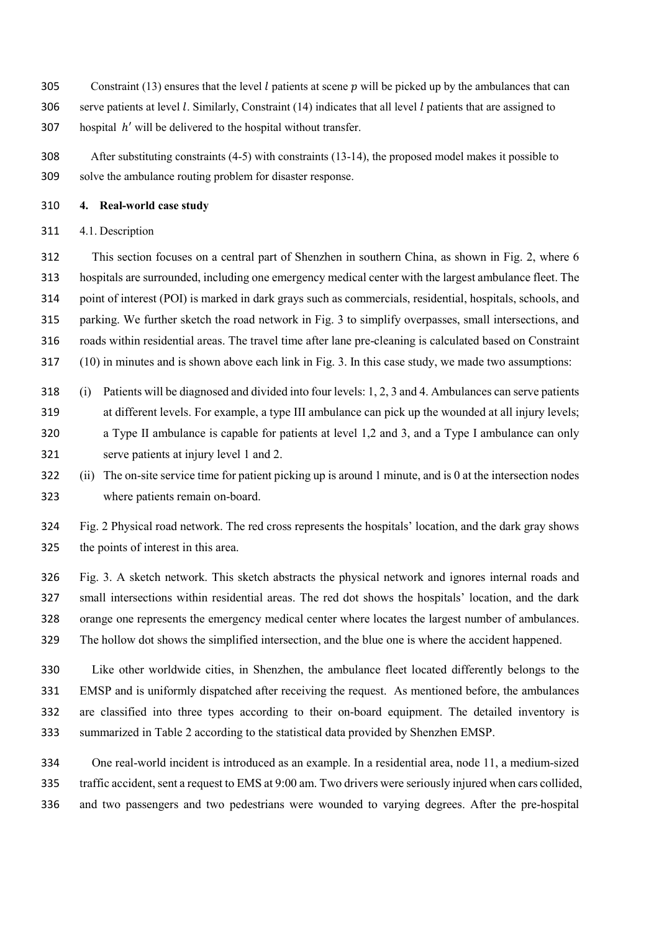- 305 Constraint (13) ensures that the level *l* patients at scene  $p$  will be picked up by the ambulances that can
- 306 serve patients at level *l*. Similarly, Constraint (14) indicates that all level *l* patients that are assigned to
- hospital  $h'$  will be delivered to the hospital without transfer.
- After substituting constraints (4-5) with constraints (13-14), the proposed model makes it possible to solve the ambulance routing problem for disaster response.

#### **4. Real-world case study**

4.1. Description

 This section focuses on a central part of Shenzhen in southern China, as shown in Fig. 2, where 6 hospitals are surrounded, including one emergency medical center with the largest ambulance fleet. The point of interest (POI) is marked in dark grays such as commercials, residential, hospitals, schools, and parking. We further sketch the road network in Fig. 3 to simplify overpasses, small intersections, and roads within residential areas. The travel time after lane pre-cleaning is calculated based on Constraint (10) in minutes and is shown above each link in Fig. 3. In this case study, we made two assumptions:

- (i) Patients will be diagnosed and divided into four levels: 1, 2, 3 and 4. Ambulances can serve patients at different levels. For example, a type III ambulance can pick up the wounded at all injury levels; a Type II ambulance is capable for patients at level 1,2 and 3, and a Type I ambulance can only serve patients at injury level 1 and 2.
- (ii) The on-site service time for patient picking up is around 1 minute, and is 0 at the intersection nodes where patients remain on-board.
- Fig. 2 Physical road network. The red cross represents the hospitals' location, and the dark gray shows the points of interest in this area.
- Fig. 3. A sketch network. This sketch abstracts the physical network and ignores internal roads and small intersections within residential areas. The red dot shows the hospitals' location, and the dark orange one represents the emergency medical center where locates the largest number of ambulances. The hollow dot shows the simplified intersection, and the blue one is where the accident happened.
- Like other worldwide cities, in Shenzhen, the ambulance fleet located differently belongs to the EMSP and is uniformly dispatched after receiving the request. As mentioned before, the ambulances are classified into three types according to their on-board equipment. The detailed inventory is summarized in Table 2 according to the statistical data provided by Shenzhen EMSP.
- One real-world incident is introduced as an example. In a residential area, node 11, a medium-sized traffic accident, sent a request to EMS at 9:00 am. Two drivers were seriously injured when cars collided, and two passengers and two pedestrians were wounded to varying degrees. After the pre-hospital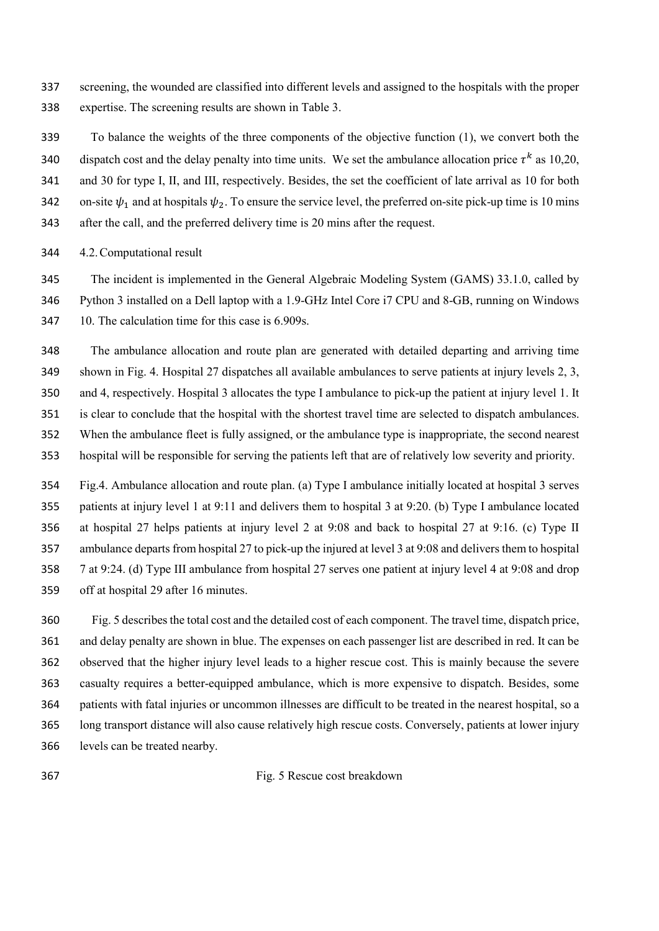screening, the wounded are classified into different levels and assigned to the hospitals with the proper expertise. The screening results are shown in Table 3.

 To balance the weights of the three components of the objective function (1), we convert both the 340 dispatch cost and the delay penalty into time units. We set the ambulance allocation price  $\tau^k$  as 10,20, and 30 for type I, II, and III, respectively. Besides, the set the coefficient of late arrival as 10 for both 342 on-site  $\psi_1$  and at hospitals  $\psi_2$ . To ensure the service level, the preferred on-site pick-up time is 10 mins after the call, and the preferred delivery time is 20 mins after the request.

4.2.Computational result

 The incident is implemented in the General Algebraic Modeling System (GAMS) 33.1.0, called by Python 3 installed on a Dell laptop with a 1.9-GHz Intel Core i7 CPU and 8-GB, running on Windows 10. The calculation time for this case is 6.909s.

 The ambulance allocation and route plan are generated with detailed departing and arriving time shown in Fig. 4. Hospital 27 dispatches all available ambulances to serve patients at injury levels 2, 3, and 4, respectively. Hospital 3 allocates the type I ambulance to pick-up the patient at injury level 1. It is clear to conclude that the hospital with the shortest travel time are selected to dispatch ambulances. When the ambulance fleet is fully assigned, or the ambulance type is inappropriate, the second nearest hospital will be responsible for serving the patients left that are of relatively low severity and priority.

 Fig.4. Ambulance allocation and route plan. (a) Type I ambulance initially located at hospital 3 serves patients at injury level 1 at 9:11 and delivers them to hospital 3 at 9:20. (b) Type I ambulance located at hospital 27 helps patients at injury level 2 at 9:08 and back to hospital 27 at 9:16. (c) Type II ambulance departs from hospital 27 to pick-up the injured at level 3 at 9:08 and delivers them to hospital 7 at 9:24. (d) Type III ambulance from hospital 27 serves one patient at injury level 4 at 9:08 and drop off at hospital 29 after 16 minutes.

 Fig. 5 describes the total cost and the detailed cost of each component. The travel time, dispatch price, and delay penalty are shown in blue. The expenses on each passenger list are described in red. It can be observed that the higher injury level leads to a higher rescue cost. This is mainly because the severe casualty requires a better-equipped ambulance, which is more expensive to dispatch. Besides, some patients with fatal injuries or uncommon illnesses are difficult to be treated in the nearest hospital, so a long transport distance will also cause relatively high rescue costs. Conversely, patients at lower injury levels can be treated nearby.

Fig. 5 Rescue cost breakdown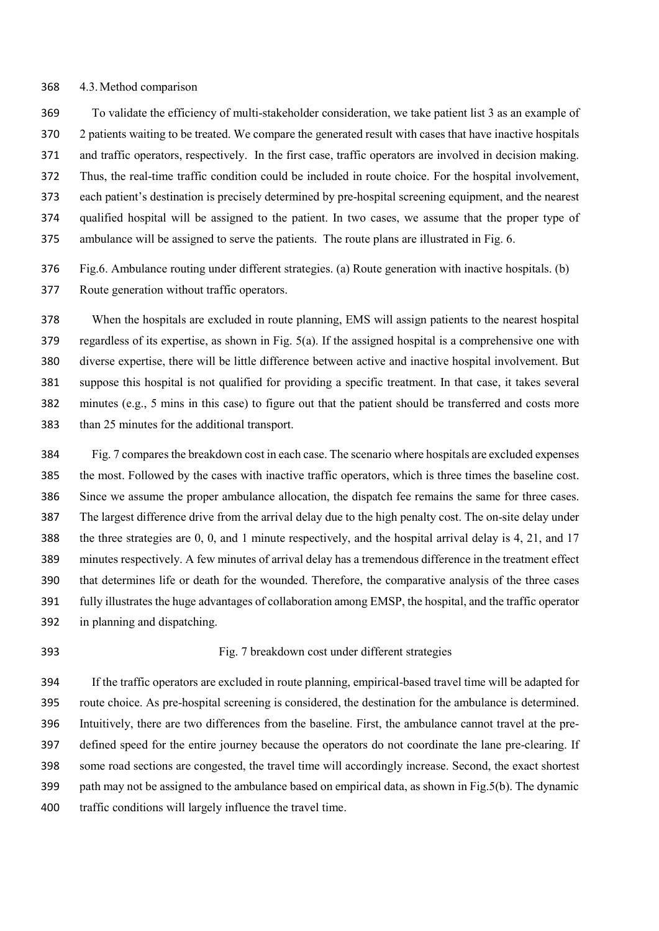## 4.3.Method comparison

 To validate the efficiency of multi-stakeholder consideration, we take patient list 3 as an example of 2 patients waiting to be treated. We compare the generated result with cases that have inactive hospitals and traffic operators, respectively. In the first case, traffic operators are involved in decision making. Thus, the real-time traffic condition could be included in route choice. For the hospital involvement, each patient's destination is precisely determined by pre-hospital screening equipment, and the nearest qualified hospital will be assigned to the patient. In two cases, we assume that the proper type of ambulance will be assigned to serve the patients. The route plans are illustrated in Fig. 6.

 Fig.6. Ambulance routing under different strategies. (a) Route generation with inactive hospitals. (b) Route generation without traffic operators.

 When the hospitals are excluded in route planning, EMS will assign patients to the nearest hospital regardless of its expertise, as shown in Fig. 5(a). If the assigned hospital is a comprehensive one with diverse expertise, there will be little difference between active and inactive hospital involvement. But suppose this hospital is not qualified for providing a specific treatment. In that case, it takes several minutes (e.g., 5 mins in this case) to figure out that the patient should be transferred and costs more than 25 minutes for the additional transport.

 Fig. 7 compares the breakdown cost in each case. The scenario where hospitals are excluded expenses the most. Followed by the cases with inactive traffic operators, which is three times the baseline cost. Since we assume the proper ambulance allocation, the dispatch fee remains the same for three cases. The largest difference drive from the arrival delay due to the high penalty cost. The on-site delay under the three strategies are 0, 0, and 1 minute respectively, and the hospital arrival delay is 4, 21, and 17 minutes respectively. A few minutes of arrival delay has a tremendous difference in the treatment effect that determines life or death for the wounded. Therefore, the comparative analysis of the three cases fully illustrates the huge advantages of collaboration among EMSP, the hospital, and the traffic operator in planning and dispatching.

# Fig. 7 breakdown cost under different strategies

 If the traffic operators are excluded in route planning, empirical-based travel time will be adapted for route choice. As pre-hospital screening is considered, the destination for the ambulance is determined. Intuitively, there are two differences from the baseline. First, the ambulance cannot travel at the pre- defined speed for the entire journey because the operators do not coordinate the lane pre-clearing. If some road sections are congested, the travel time will accordingly increase. Second, the exact shortest path may not be assigned to the ambulance based on empirical data, as shown in Fig.5(b). The dynamic traffic conditions will largely influence the travel time.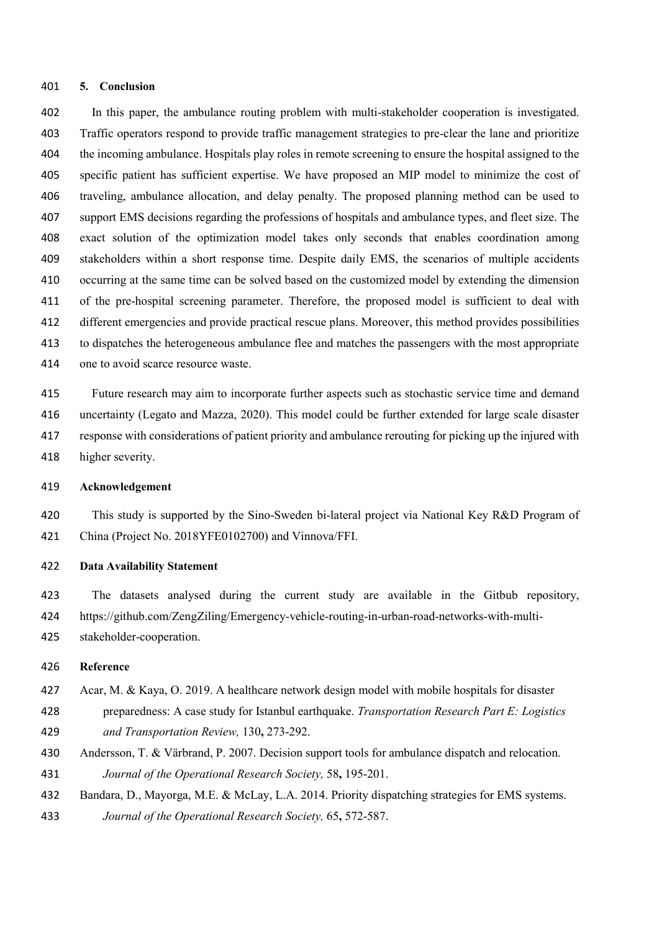#### **5. Conclusion**

 In this paper, the ambulance routing problem with multi-stakeholder cooperation is investigated. Traffic operators respond to provide traffic management strategies to pre-clear the lane and prioritize the incoming ambulance. Hospitals play roles in remote screening to ensure the hospital assigned to the specific patient has sufficient expertise. We have proposed an MIP model to minimize the cost of traveling, ambulance allocation, and delay penalty. The proposed planning method can be used to support EMS decisions regarding the professions of hospitals and ambulance types, and fleet size. The exact solution of the optimization model takes only seconds that enables coordination among stakeholders within a short response time. Despite daily EMS, the scenarios of multiple accidents occurring at the same time can be solved based on the customized model by extending the dimension of the pre-hospital screening parameter. Therefore, the proposed model is sufficient to deal with different emergencies and provide practical rescue plans. Moreover, this method provides possibilities to dispatches the heterogeneous ambulance flee and matches the passengers with the most appropriate one to avoid scarce resource waste.

 Future research may aim to incorporate further aspects such as stochastic service time and demand uncertainty (Legato and Mazza, 2020). This model could be further extended for large scale disaster response with considerations of patient priority and ambulance rerouting for picking up the injured with higher severity.

## **Acknowledgement**

 This study is supported by the Sino-Sweden bi-lateral project via National Key R&D Program of China (Project No. 2018YFE0102700) and Vinnova/FFI.

# **Data Availability Statement**

The datasets analysed during the current study are available in the Gitbub repository,

https://github.com/ZengZiling/Emergency-vehicle-routing-in-urban-road-networks-with-multi-

stakeholder-cooperation.

#### **Reference**

- Acar, M. & Kaya, O. 2019. A healthcare network design model with mobile hospitals for disaster
- preparedness: A case study for Istanbul earthquake. *Transportation Research Part E: Logistics and Transportation Review,* 130**,** 273-292.
- Andersson, T. & Värbrand, P. 2007. Decision support tools for ambulance dispatch and relocation.
- *Journal of the Operational Research Society,* 58**,** 195-201.
- Bandara, D., Mayorga, M.E. & McLay, L.A. 2014. Priority dispatching strategies for EMS systems. *Journal of the Operational Research Society,* 65**,** 572-587.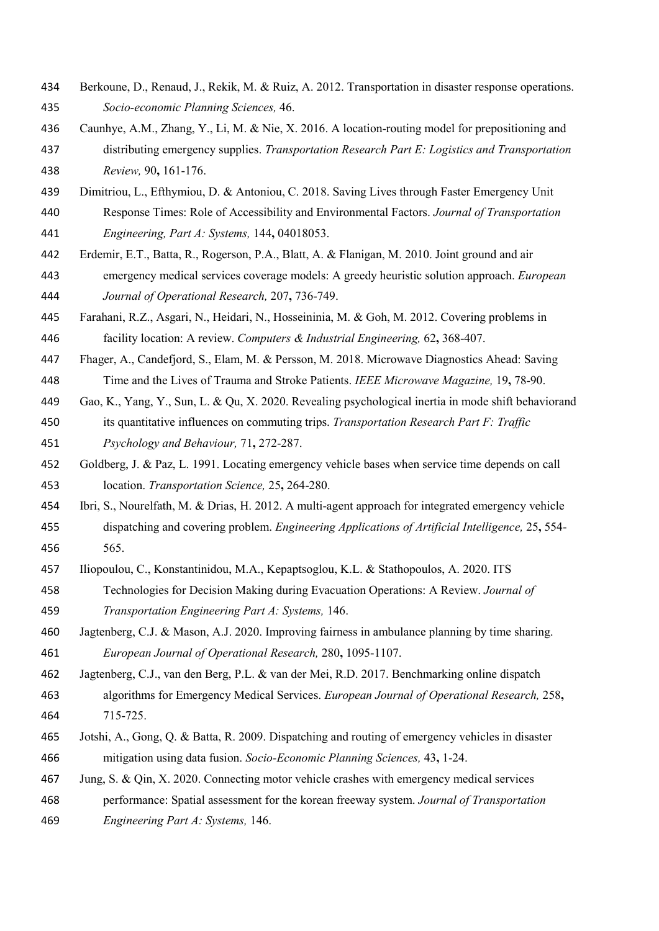- Berkoune, D., Renaud, J., Rekik, M. & Ruiz, A. 2012. Transportation in disaster response operations. *Socio-economic Planning Sciences,* 46.
- Caunhye, A.M., Zhang, Y., Li, M. & Nie, X. 2016. A location-routing model for prepositioning and distributing emergency supplies. *Transportation Research Part E: Logistics and Transportation Review,* 90**,** 161-176.
- Dimitriou, L., Efthymiou, D. & Antoniou, C. 2018. Saving Lives through Faster Emergency Unit
- Response Times: Role of Accessibility and Environmental Factors. *Journal of Transportation Engineering, Part A: Systems,* 144**,** 04018053.
- Erdemir, E.T., Batta, R., Rogerson, P.A., Blatt, A. & Flanigan, M. 2010. Joint ground and air emergency medical services coverage models: A greedy heuristic solution approach. *European Journal of Operational Research,* 207**,** 736-749.
- Farahani, R.Z., Asgari, N., Heidari, N., Hosseininia, M. & Goh, M. 2012. Covering problems in facility location: A review. *Computers & Industrial Engineering,* 62**,** 368-407.
- Fhager, A., Candefjord, S., Elam, M. & Persson, M. 2018. Microwave Diagnostics Ahead: Saving Time and the Lives of Trauma and Stroke Patients. *IEEE Microwave Magazine,* 19**,** 78-90.
- Gao, K., Yang, Y., Sun, L. & Qu, X. 2020. Revealing psychological inertia in mode shift behaviorand its quantitative influences on commuting trips. *Transportation Research Part F: Traffic Psychology and Behaviour,* 71**,** 272-287.
- Goldberg, J. & Paz, L. 1991. Locating emergency vehicle bases when service time depends on call location. *Transportation Science,* 25**,** 264-280.
- Ibri, S., Nourelfath, M. & Drias, H. 2012. A multi-agent approach for integrated emergency vehicle dispatching and covering problem. *Engineering Applications of Artificial Intelligence,* 25**,** 554- 565.
- Iliopoulou, C., Konstantinidou, M.A., Kepaptsoglou, K.L. & Stathopoulos, A. 2020. ITS
- Technologies for Decision Making during Evacuation Operations: A Review. *Journal of Transportation Engineering Part A: Systems,* 146.
- Jagtenberg, C.J. & Mason, A.J. 2020. Improving fairness in ambulance planning by time sharing. *European Journal of Operational Research,* 280**,** 1095-1107.
- Jagtenberg, C.J., van den Berg, P.L. & van der Mei, R.D. 2017. Benchmarking online dispatch
- algorithms for Emergency Medical Services. *European Journal of Operational Research,* 258**,** 715-725.
- Jotshi, A., Gong, Q. & Batta, R. 2009. Dispatching and routing of emergency vehicles in disaster mitigation using data fusion. *Socio-Economic Planning Sciences,* 43**,** 1-24.
- Jung, S. & Qin, X. 2020. Connecting motor vehicle crashes with emergency medical services
- performance: Spatial assessment for the korean freeway system. *Journal of Transportation*
- *Engineering Part A: Systems,* 146.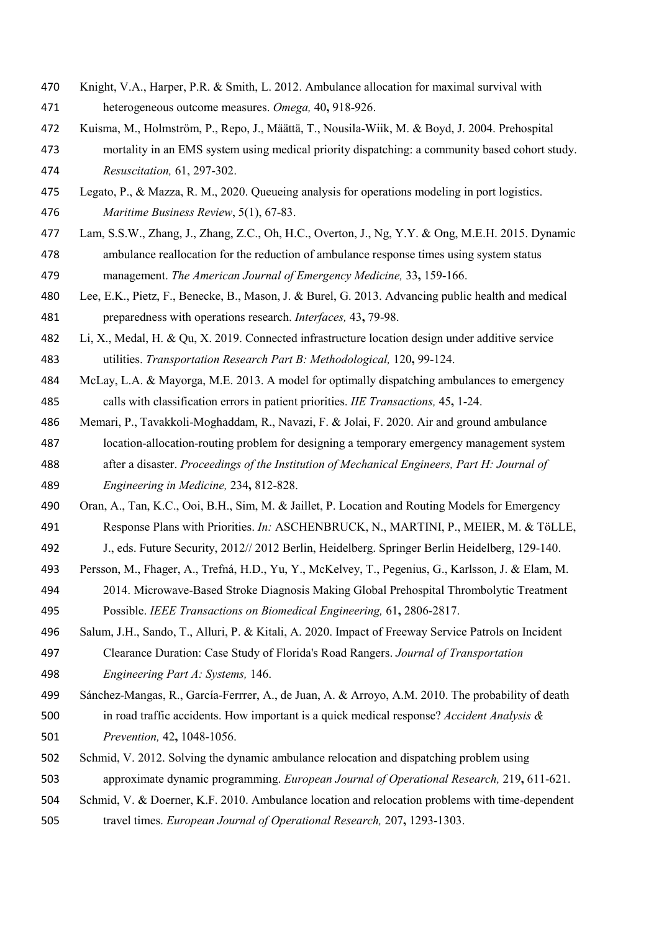- Knight, V.A., Harper, P.R. & Smith, L. 2012. Ambulance allocation for maximal survival with heterogeneous outcome measures. *Omega,* 40**,** 918-926.
- Kuisma, M., Holmström, P., Repo, J., Määttä, T., Nousila-Wiik, M. & Boyd, J. 2004. Prehospital mortality in an EMS system using medical priority dispatching: a community based cohort study. *Resuscitation,* 61, 297-302.
- Legato, P., & Mazza, R. M., 2020. Queueing analysis for operations modeling in port logistics.
- *Maritime Business Review*, 5(1), 67-83.
- Lam, S.S.W., Zhang, J., Zhang, Z.C., Oh, H.C., Overton, J., Ng, Y.Y. & Ong, M.E.H. 2015. Dynamic ambulance reallocation for the reduction of ambulance response times using system status management. *The American Journal of Emergency Medicine,* 33**,** 159-166.
- Lee, E.K., Pietz, F., Benecke, B., Mason, J. & Burel, G. 2013. Advancing public health and medical preparedness with operations research. *Interfaces,* 43**,** 79-98.
- Li, X., Medal, H. & Qu, X. 2019. Connected infrastructure location design under additive service utilities. *Transportation Research Part B: Methodological,* 120**,** 99-124.
- McLay, L.A. & Mayorga, M.E. 2013. A model for optimally dispatching ambulances to emergency calls with classification errors in patient priorities. *IIE Transactions,* 45**,** 1-24.
- Memari, P., Tavakkoli-Moghaddam, R., Navazi, F. & Jolai, F. 2020. Air and ground ambulance
- location-allocation-routing problem for designing a temporary emergency management system
- after a disaster. *Proceedings of the Institution of Mechanical Engineers, Part H: Journal of*
- *Engineering in Medicine,* 234**,** 812-828.
- Oran, A., Tan, K.C., Ooi, B.H., Sim, M. & Jaillet, P. Location and Routing Models for Emergency Response Plans with Priorities. *In:* ASCHENBRUCK, N., MARTINI, P., MEIER, M. & TöLLE,
- J., eds. Future Security, 2012// 2012 Berlin, Heidelberg. Springer Berlin Heidelberg, 129-140.
- Persson, M., Fhager, A., Trefná, H.D., Yu, Y., McKelvey, T., Pegenius, G., Karlsson, J. & Elam, M.
- 2014. Microwave-Based Stroke Diagnosis Making Global Prehospital Thrombolytic Treatment Possible. *IEEE Transactions on Biomedical Engineering,* 61**,** 2806-2817.
- Salum, J.H., Sando, T., Alluri, P. & Kitali, A. 2020. Impact of Freeway Service Patrols on Incident Clearance Duration: Case Study of Florida's Road Rangers. *Journal of Transportation Engineering Part A: Systems,* 146.
- Sánchez-Mangas, R., García-Ferrrer, A., de Juan, A. & Arroyo, A.M. 2010. The probability of death in road traffic accidents. How important is a quick medical response? *Accident Analysis & Prevention,* 42**,** 1048-1056.
- Schmid, V. 2012. Solving the dynamic ambulance relocation and dispatching problem using approximate dynamic programming. *European Journal of Operational Research,* 219**,** 611-621.
- Schmid, V. & Doerner, K.F. 2010. Ambulance location and relocation problems with time-dependent travel times. *European Journal of Operational Research,* 207**,** 1293-1303.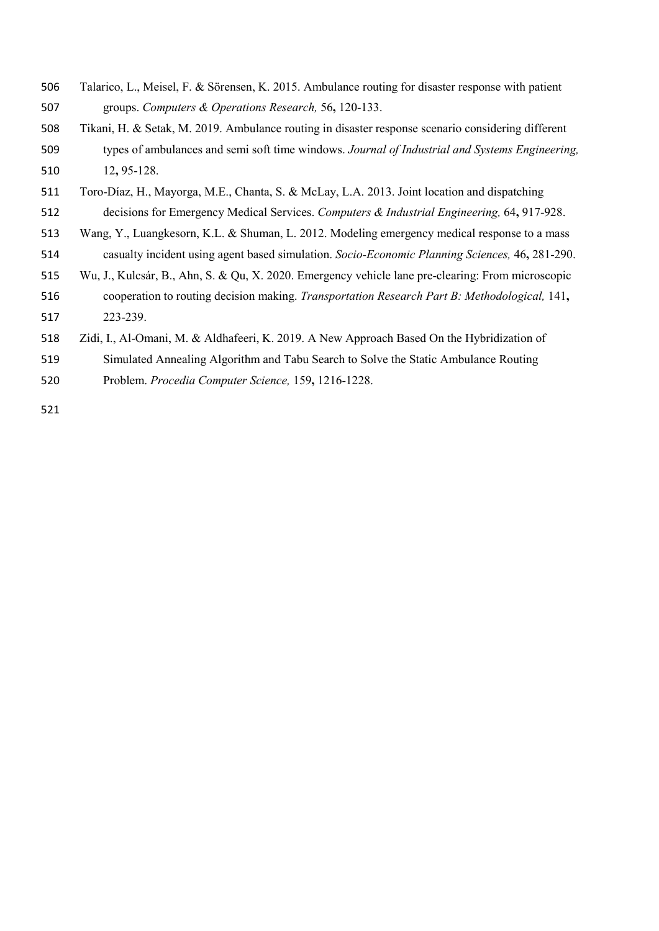- Talarico, L., Meisel, F. & Sörensen, K. 2015. Ambulance routing for disaster response with patient groups. *Computers & Operations Research,* 56**,** 120-133.
- Tikani, H. & Setak, M. 2019. Ambulance routing in disaster response scenario considering different types of ambulances and semi soft time windows. *Journal of Industrial and Systems Engineering,* 12**,** 95-128.
- Toro-Díaz, H., Mayorga, M.E., Chanta, S. & McLay, L.A. 2013. Joint location and dispatching
- decisions for Emergency Medical Services. *Computers & Industrial Engineering,* 64**,** 917-928.
- Wang, Y., Luangkesorn, K.L. & Shuman, L. 2012. Modeling emergency medical response to a mass casualty incident using agent based simulation. *Socio-Economic Planning Sciences,* 46**,** 281-290.
- Wu, J., Kulcsár, B., Ahn, S. & Qu, X. 2020. Emergency vehicle lane pre-clearing: From microscopic cooperation to routing decision making. *Transportation Research Part B: Methodological,* 141**,**
- 223-239.
- Zidi, I., Al-Omani, M. & Aldhafeeri, K. 2019. A New Approach Based On the Hybridization of
- Simulated Annealing Algorithm and Tabu Search to Solve the Static Ambulance Routing
- Problem. *Procedia Computer Science,* 159**,** 1216-1228.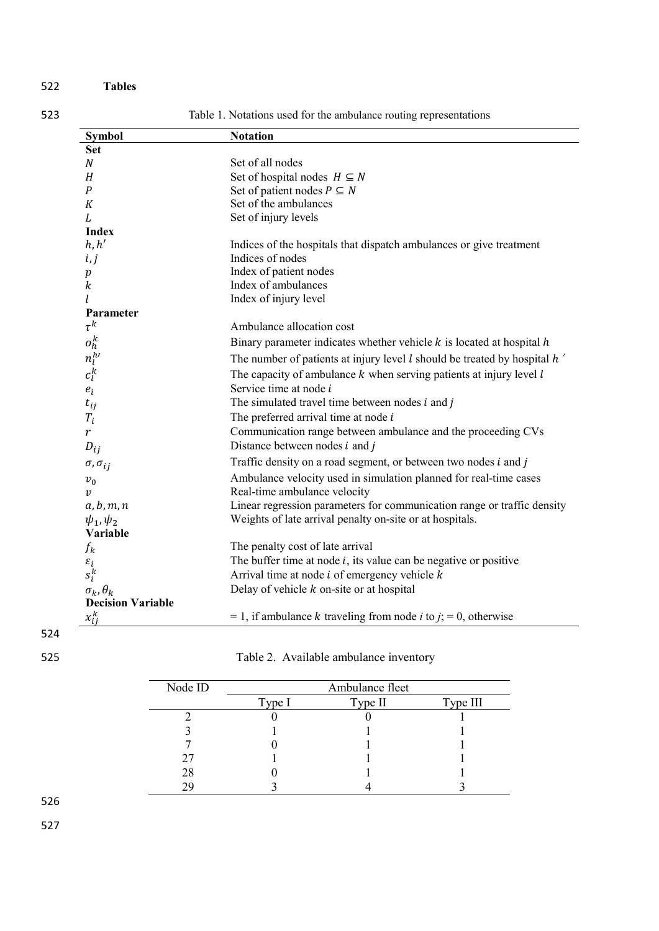522 **Tables**

523 Table 1. Notations used for the ambulance routing representations

| <b>Symbol</b>              | <b>Notation</b>                                                               |  |  |
|----------------------------|-------------------------------------------------------------------------------|--|--|
| <b>Set</b>                 |                                                                               |  |  |
| $\boldsymbol{N}$           | Set of all nodes                                                              |  |  |
| H                          | Set of hospital nodes $H \subseteq N$                                         |  |  |
| $\overline{P}$             | Set of patient nodes $P \subseteq N$                                          |  |  |
| $\cal K$                   | Set of the ambulances                                                         |  |  |
| L                          | Set of injury levels                                                          |  |  |
| <b>Index</b>               |                                                                               |  |  |
| h, h'                      | Indices of the hospitals that dispatch ambulances or give treatment           |  |  |
| i, j                       | Indices of nodes                                                              |  |  |
| $\boldsymbol{p}$           | Index of patient nodes                                                        |  |  |
| $\boldsymbol{k}$           | Index of ambulances                                                           |  |  |
|                            | Index of injury level                                                         |  |  |
| Parameter                  |                                                                               |  |  |
| $\tau^k$                   | Ambulance allocation cost                                                     |  |  |
| $o_h^k$                    | Binary parameter indicates whether vehicle $k$ is located at hospital $h$     |  |  |
|                            | The number of patients at injury level $l$ should be treated by hospital $h'$ |  |  |
| $n_l^{h}$                  | The capacity of ambulance $k$ when serving patients at injury level $l$       |  |  |
| $e_i$                      | Service time at node i                                                        |  |  |
| $t_{ij}$                   | The simulated travel time between nodes $i$ and $j$                           |  |  |
| $T_i$                      | The preferred arrival time at node $i$                                        |  |  |
| $\boldsymbol{r}$           | Communication range between ambulance and the proceeding CVs                  |  |  |
|                            | Distance between nodes $i$ and $j$                                            |  |  |
| $D_{ij}$                   |                                                                               |  |  |
| $\sigma$ , $\sigma_{ij}$   | Traffic density on a road segment, or between two nodes <i>i</i> and <i>j</i> |  |  |
| $v_0$                      | Ambulance velocity used in simulation planned for real-time cases             |  |  |
| $\boldsymbol{\mathcal{V}}$ | Real-time ambulance velocity                                                  |  |  |
| a, b, m, n                 | Linear regression parameters for communication range or traffic density       |  |  |
| $\psi_1, \psi_2$           | Weights of late arrival penalty on-site or at hospitals.                      |  |  |
| <b>Variable</b>            |                                                                               |  |  |
| $f_k$                      | The penalty cost of late arrival                                              |  |  |
| $\varepsilon_i$            | The buffer time at node $i$ , its value can be negative or positive           |  |  |
| $s_i^k$                    | Arrival time at node $i$ of emergency vehicle $k$                             |  |  |
| $\sigma_k, \theta_k$       | Delay of vehicle $k$ on-site or at hospital                                   |  |  |
| <b>Decision Variable</b>   |                                                                               |  |  |
| $x_{ij}^k$                 | = 1, if ambulance k traveling from node i to $j$ ; = 0, otherwise             |  |  |

524

# 525 Table 2. Available ambulance inventory

| Node ID |        | Ambulance fleet |          |
|---------|--------|-----------------|----------|
|         | Type I | Type II         | Type III |
|         |        |                 |          |
|         |        |                 |          |
|         |        |                 |          |
| 27      |        |                 |          |
| 28      |        |                 |          |
|         |        |                 |          |

526

527